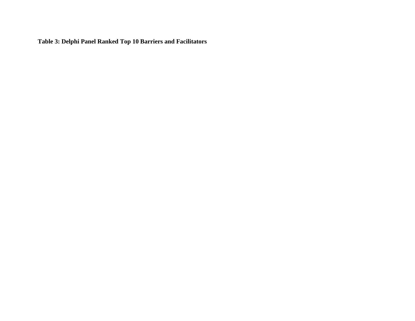**Table 3: Delphi Panel Ranked Top 10 Barriers and Facilitators**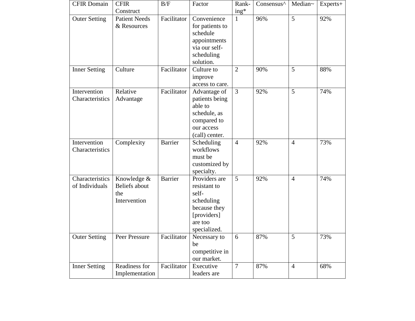| <b>CFIR Domain</b>                | <b>CFIR</b><br>Construct                            | B/F            | Factor                                                                                                         | Rank-<br>ing*  | Consensus <sup>^</sup> | Median~        | $Experts+$ |
|-----------------------------------|-----------------------------------------------------|----------------|----------------------------------------------------------------------------------------------------------------|----------------|------------------------|----------------|------------|
| <b>Outer Setting</b>              | <b>Patient Needs</b><br>& Resources                 | Facilitator    | Convenience<br>for patients to<br>schedule<br>appointments<br>via our self-<br>scheduling<br>solution.         | 1              | 96%                    | 5              | 92%        |
| <b>Inner Setting</b>              | Culture                                             | Facilitator    | Culture to<br>improve<br>access to care.                                                                       | $\overline{2}$ | 90%                    | 5              | 88%        |
| Intervention<br>Characteristics   | Relative<br>Advantage                               | Facilitator    | Advantage of<br>patients being<br>able to<br>schedule, as<br>compared to<br>our access<br>(call) center.       | 3              | 92%                    | 5              | 74%        |
| Intervention<br>Characteristics   | Complexity                                          | <b>Barrier</b> | Scheduling<br>workflows<br>must be<br>customized by<br>specialty.                                              | $\overline{4}$ | 92%                    | $\overline{4}$ | 73%        |
| Characteristics<br>of Individuals | Knowledge &<br>Beliefs about<br>the<br>Intervention | <b>Barrier</b> | Providers are<br>resistant to<br>self-<br>scheduling<br>because they<br>[providers]<br>are too<br>specialized. | 5              | 92%                    | $\overline{4}$ | 74%        |
| <b>Outer Setting</b>              | Peer Pressure                                       | Facilitator    | Necessary to<br>be<br>competitive in<br>our market.                                                            | 6              | 87%                    | 5              | 73%        |
| <b>Inner Setting</b>              | Readiness for<br>Implementation                     | Facilitator    | Executive<br>leaders are                                                                                       | $\overline{7}$ | 87%                    | $\overline{4}$ | 68%        |